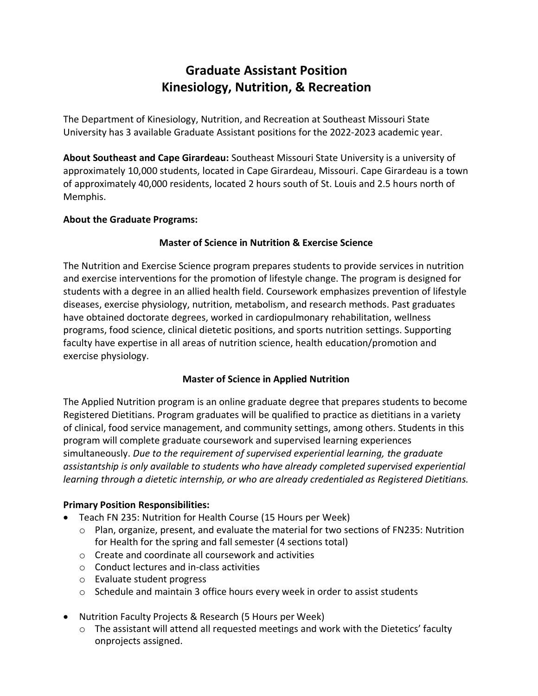# **Graduate Assistant Position Kinesiology, Nutrition, & Recreation**

The Department of Kinesiology, Nutrition, and Recreation at Southeast Missouri State University has 3 available Graduate Assistant positions for the 2022-2023 academic year.

**About Southeast and Cape Girardeau:** Southeast Missouri State University is a university of approximately 10,000 students, located in Cape Girardeau, Missouri. Cape Girardeau is a town of approximately 40,000 residents, located 2 hours south of St. Louis and 2.5 hours north of Memphis.

# **About the Graduate Programs:**

# **Master of Science in Nutrition & Exercise Science**

The Nutrition and Exercise Science program prepares students to provide services in nutrition and exercise interventions for the promotion of lifestyle change. The program is designed for students with a degree in an allied health field. Coursework emphasizes prevention of lifestyle diseases, exercise physiology, nutrition, metabolism, and research methods. Past graduates have obtained doctorate degrees, worked in cardiopulmonary rehabilitation, wellness programs, food science, clinical dietetic positions, and sports nutrition settings. Supporting faculty have expertise in all areas of nutrition science, health education/promotion and exercise physiology.

# **Master of Science in Applied Nutrition**

The Applied Nutrition program is an online graduate degree that prepares students to become Registered Dietitians. Program graduates will be qualified to practice as dietitians in a variety of clinical, food service management, and community settings, among others. Students in this program will complete graduate coursework and supervised learning experiences simultaneously. *Due to the requirement of supervised experiential learning, the graduate assistantship is only available to students who have already completed supervised experiential learning through a dietetic internship, or who are already credentialed as Registered Dietitians.*

# **Primary Position Responsibilities:**

- Teach FN 235: Nutrition for Health Course (15 Hours per Week)
	- $\circ$  Plan, organize, present, and evaluate the material for two sections of FN235: Nutrition for Health for the spring and fall semester (4 sections total)
	- o Create and coordinate all coursework and activities
	- o Conduct lectures and in-class activities
	- o Evaluate student progress
	- $\circ$  Schedule and maintain 3 office hours every week in order to assist students
- Nutrition Faculty Projects & Research (5 Hours per Week)
	- o The assistant will attend all requested meetings and work with the Dietetics' faculty onprojects assigned.